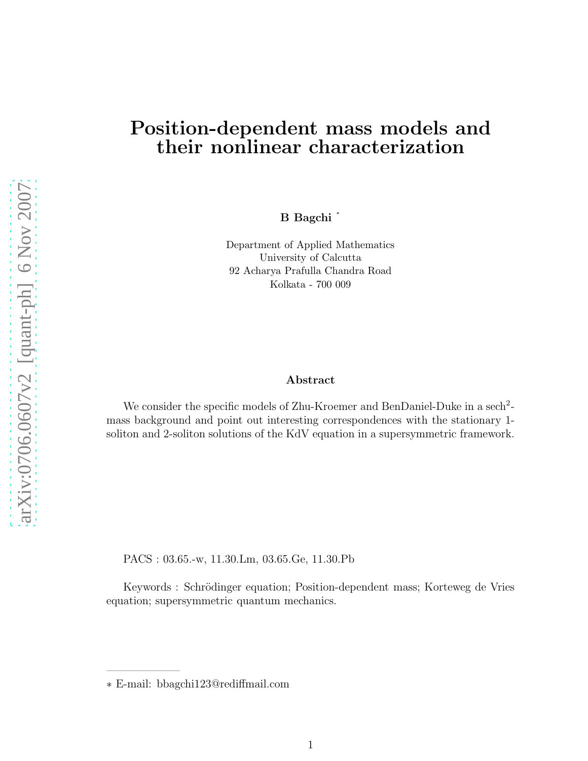## Position-dependent mass models and their nonlinear characterization

B Bagchi <sup>∗</sup>

Department of Applied Mathematics University of Calcutta 92 Acharya Prafulla Chandra Road Kolkata - 700 009

## Abstract

We consider the specific models of Zhu-Kroemer and BenDaniel-Duke in a sech<sup>2</sup>mass background and point out interesting correspondences with the stationary 1 soliton and 2-soliton solutions of the KdV equation in a supersymmetric framework.

PACS : 03.65.-w, 11.30.Lm, 03.65.Ge, 11.30.Pb

Keywords : Schrödinger equation; Position-dependent mass; Korteweg de Vries equation; supersymmetric quantum mechanics.

∗ E-mail: bbagchi123@rediffmail.com

——————–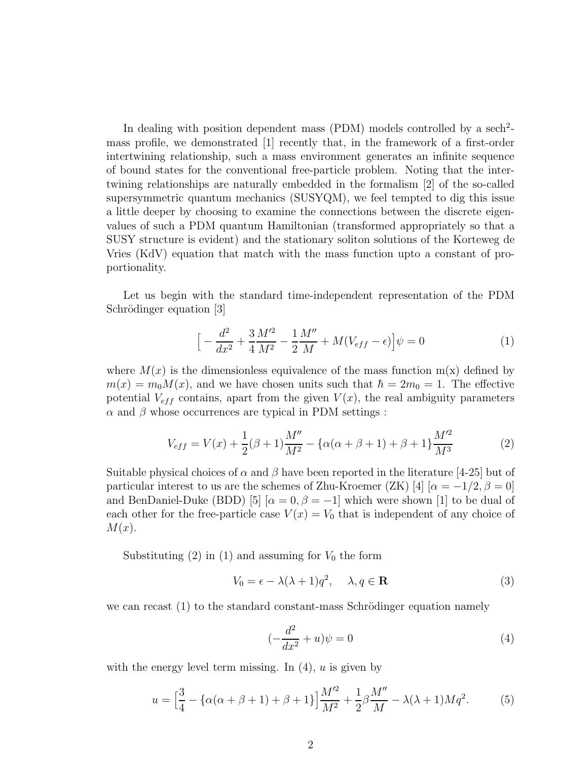In dealing with position dependent mass (PDM) models controlled by a sech<sup>2</sup>mass profile, we demonstrated [1] recently that, in the framework of a first-order intertwining relationship, such a mass environment generates an infinite sequence of bound states for the conventional free-particle problem. Noting that the intertwining relationships are naturally embedded in the formalism [2] of the so-called supersymmetric quantum mechanics (SUSYQM), we feel tempted to dig this issue a little deeper by choosing to examine the connections between the discrete eigenvalues of such a PDM quantum Hamiltonian (transformed appropriately so that a SUSY structure is evident) and the stationary soliton solutions of the Korteweg de Vries (KdV) equation that match with the mass function upto a constant of proportionality.

Let us begin with the standard time-independent representation of the PDM Schrödinger equation [3]

$$
\[ -\frac{d^2}{dx^2} + \frac{3}{4} \frac{M'^2}{M^2} - \frac{1}{2} \frac{M''}{M} + M(V_{eff} - \epsilon) \] \psi = 0 \tag{1}
$$

where  $M(x)$  is the dimensionless equivalence of the mass function  $m(x)$  defined by  $m(x) = m_0 M(x)$ , and we have chosen units such that  $\hbar = 2m_0 = 1$ . The effective potential  $V_{eff}$  contains, apart from the given  $V(x)$ , the real ambiguity parameters  $\alpha$  and  $\beta$  whose occurrences are typical in PDM settings :

$$
V_{eff} = V(x) + \frac{1}{2}(\beta + 1)\frac{M''}{M^2} - {\alpha(\alpha + \beta + 1) + \beta + 1}\frac{M'^2}{M^3}
$$
 (2)

Suitable physical choices of  $\alpha$  and  $\beta$  have been reported in the literature [4-25] but of particular interest to us are the schemes of Zhu-Kroemer (ZK) [4]  $\alpha = -1/2, \beta = 0$ ] and BenDaniel-Duke (BDD) [5]  $\alpha = 0, \beta = -1$  which were shown [1] to be dual of each other for the free-particle case  $V(x) = V_0$  that is independent of any choice of  $M(x)$ .

Substituting  $(2)$  in  $(1)$  and assuming for  $V_0$  the form

$$
V_0 = \epsilon - \lambda(\lambda + 1)q^2, \quad \lambda, q \in \mathbf{R}
$$
 (3)

we can recast  $(1)$  to the standard constant-mass Schrödinger equation namely

$$
\left(-\frac{d^2}{dx^2} + u\right)\psi = 0\tag{4}
$$

with the energy level term missing. In  $(4)$ , u is given by

$$
u = \left[\frac{3}{4} - \left\{\alpha(\alpha + \beta + 1) + \beta + 1\right\}\right] \frac{M^2}{M^2} + \frac{1}{2}\beta\frac{M''}{M} - \lambda(\lambda + 1)Mq^2.
$$
 (5)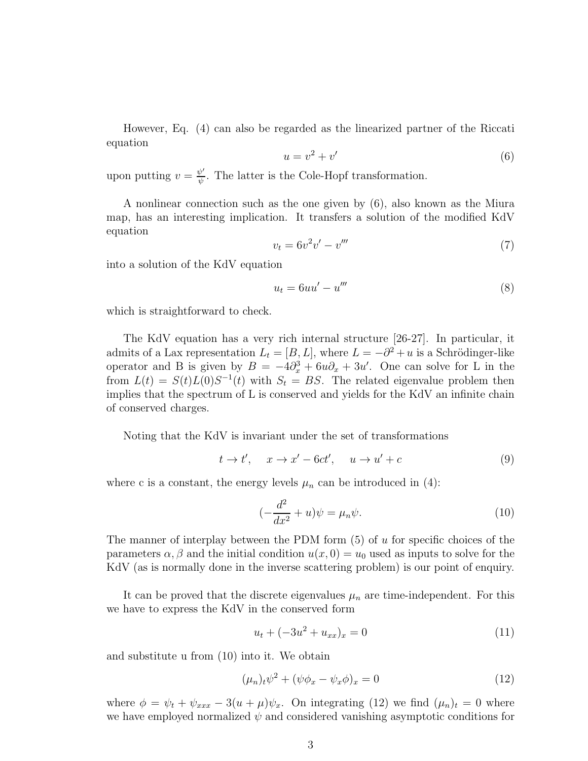However, Eq. (4) can also be regarded as the linearized partner of the Riccati equation

$$
u = v^2 + v' \tag{6}
$$

upon putting  $v = \frac{\psi'}{\psi}$  $\frac{\psi}{\psi}$ . The latter is the Cole-Hopf transformation.

A nonlinear connection such as the one given by (6), also known as the Miura map, has an interesting implication. It transfers a solution of the modified KdV equation

$$
v_t = 6v^2v' - v'''
$$
\n<sup>(7)</sup>

into a solution of the KdV equation

$$
u_t = 6uu' - u''' \tag{8}
$$

which is straightforward to check.

The KdV equation has a very rich internal structure [26-27]. In particular, it admits of a Lax representation  $L_t = [B, L]$ , where  $L = -\partial^2 + u$  is a Schrödinger-like operator and B is given by  $B = -4\partial_x^3 + 6u\partial_x + 3u'$ . One can solve for L in the from  $L(t) = S(t)L(0)S^{-1}(t)$  with  $S_t = BS$ . The related eigenvalue problem then implies that the spectrum of L is conserved and yields for the KdV an infinite chain of conserved charges.

Noting that the KdV is invariant under the set of transformations

$$
t \to t', \quad x \to x' - 6ct', \quad u \to u' + c \tag{9}
$$

where c is a constant, the energy levels  $\mu_n$  can be introduced in (4):

$$
(-\frac{d^2}{dx^2} + u)\psi = \mu_n \psi.
$$
\n(10)

The manner of interplay between the PDM form  $(5)$  of u for specific choices of the parameters  $\alpha$ ,  $\beta$  and the initial condition  $u(x, 0) = u_0$  used as inputs to solve for the KdV (as is normally done in the inverse scattering problem) is our point of enquiry.

It can be proved that the discrete eigenvalues  $\mu_n$  are time-independent. For this we have to express the KdV in the conserved form

$$
u_t + (-3u^2 + u_{xx})_x = 0 \tag{11}
$$

and substitute u from (10) into it. We obtain

$$
(\mu_n)_t \psi^2 + (\psi \phi_x - \psi_x \phi)_x = 0 \tag{12}
$$

where  $\phi = \psi_t + \psi_{xxx} - 3(u + \mu)\psi_x$ . On integrating (12) we find  $(\mu_n)_t = 0$  where we have employed normalized  $\psi$  and considered vanishing asymptotic conditions for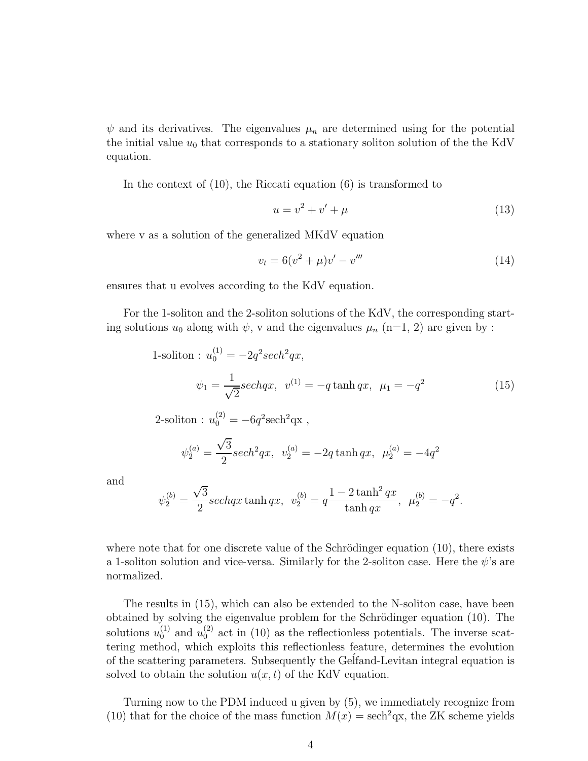$\psi$  and its derivatives. The eigenvalues  $\mu_n$  are determined using for the potential the initial value  $u_0$  that corresponds to a stationary soliton solution of the the KdV equation.

In the context of (10), the Riccati equation (6) is transformed to

$$
u = v^2 + v' + \mu \tag{13}
$$

where v as a solution of the generalized MKdV equation

$$
v_t = 6(v^2 + \mu)v' - v'''
$$
\n(14)

ensures that u evolves according to the KdV equation.

For the 1-soliton and the 2-soliton solutions of the KdV, the corresponding starting solutions  $u_0$  along with  $\psi$ , v and the eigenvalues  $\mu_n$  (n=1, 2) are given by :

1-soliton : 
$$
u_0^{(1)} = -2q^2 sech^2 qx
$$
,  
\n
$$
\psi_1 = \frac{1}{\sqrt{2}} sechqx, \quad v^{(1)} = -q \tanh qx, \quad \mu_1 = -q^2 \tag{15}
$$

2-soliton : 
$$
u_0^{(2)} = -6q^2 \text{sech}^2 \text{qx}
$$
,

$$
\psi_2^{(a)} = \frac{\sqrt{3}}{2}sech^2qx, \ \ v_2^{(a)} = -2q\tanh qx, \ \ \mu_2^{(a)} = -4q^2
$$

and

$$
\psi_2^{(b)} = \frac{\sqrt{3}}{2} \operatorname{sech} qx \tanh qx, \ \ v_2^{(b)} = q \frac{1 - 2 \tanh^2 qx}{\tanh qx}, \ \ \mu_2^{(b)} = -q^2.
$$

where note that for one discrete value of the Schrödinger equation  $(10)$ , there exists a 1-soliton solution and vice-versa. Similarly for the 2-soliton case. Here the  $\psi$ 's are normalized.

The results in (15), which can also be extended to the N-soliton case, have been obtained by solving the eigenvalue problem for the Schrödinger equation (10). The solutions  $u_0^{(1)}$  and  $u_0^{(2)}$  act in (10) as the reflectionless potentials. The inverse scattering method, which exploits this reflectionless feature, determines the evolution of the scattering parameters. Subsequently the Gelfand-Levitan integral equation is solved to obtain the solution  $u(x, t)$  of the KdV equation.

Turning now to the PDM induced u given by (5), we immediately recognize from (10) that for the choice of the mass function  $M(x) = \text{sech}^2 \text{qx}$ , the ZK scheme yields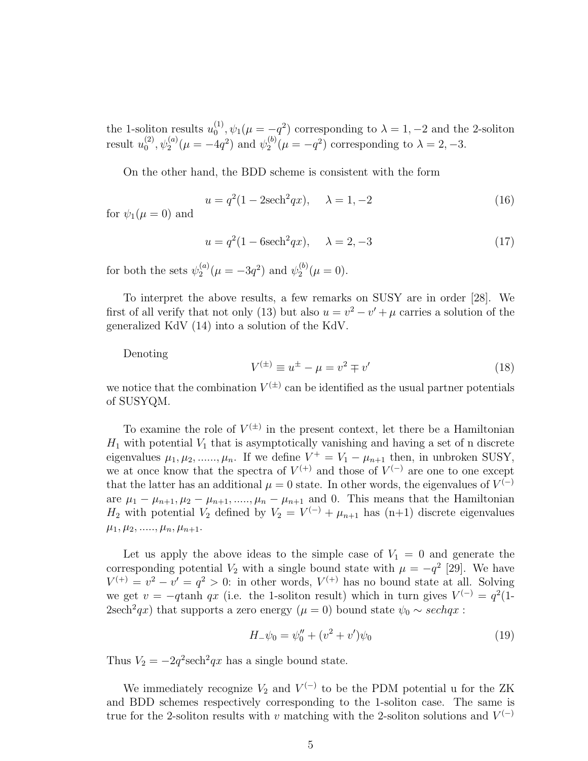the 1-soliton results  $u_0^{(1)}$  $\psi_0^{(1)}$ ,  $\psi_1(\mu = -q^2)$  corresponding to  $\lambda = 1, -2$  and the 2-soliton result  $u_0^{(2)}$  $\psi_0^{(2)}, \psi_2^{(a)}(\mu = -4q^2)$  and  $\psi_2^{(b)}$  $2^{(b)}(\mu = -q^2)$  corresponding to  $\lambda = 2, -3.$ 

On the other hand, the BDD scheme is consistent with the form

$$
u = q^{2}(1 - 2\text{sech}^{2}qx), \quad \lambda = 1, -2
$$
 (16)

for  $\psi_1(\mu=0)$  and

$$
u = q^{2}(1 - 6\text{sech}^{2}qx), \quad \lambda = 2, -3
$$
 (17)

for both the sets  $\psi_2^{(a)}$  $y_2^{(a)}(\mu = -3q^2)$  and  $\psi_2^{(b)}$  $2^{(0)}(\mu=0).$ 

To interpret the above results, a few remarks on SUSY are in order [28]. We first of all verify that not only (13) but also  $u = v^2 - v' + \mu$  carries a solution of the generalized KdV (14) into a solution of the KdV.

Denoting

$$
V^{(\pm)} \equiv u^{\pm} - \mu = v^2 \mp v'
$$
\n<sup>(18)</sup>

we notice that the combination  $V^{(\pm)}$  can be identified as the usual partner potentials of SUSYQM.

To examine the role of  $V^{(\pm)}$  in the present context, let there be a Hamiltonian  $H_1$  with potential  $V_1$  that is asymptotically vanishing and having a set of n discrete eigenvalues  $\mu_1, \mu_2, \ldots, \mu_n$ . If we define  $V^+ = V_1 - \mu_{n+1}$  then, in unbroken SUSY, we at once know that the spectra of  $V^{(+)}$  and those of  $V^{(-)}$  are one to one except that the latter has an additional  $\mu = 0$  state. In other words, the eigenvalues of  $V^{(-)}$ are  $\mu_1 - \mu_{n+1}, \mu_2 - \mu_{n+1}, \dots, \mu_n - \mu_{n+1}$  and 0. This means that the Hamiltonian  $H_2$  with potential  $V_2$  defined by  $V_2 = V^{(-)} + \mu_{n+1}$  has  $(n+1)$  discrete eigenvalues  $\mu_1, \mu_2, \ldots, \mu_n, \mu_{n+1}.$ 

Let us apply the above ideas to the simple case of  $V_1 = 0$  and generate the corresponding potential  $V_2$  with a single bound state with  $\mu = -q^2$  [29]. We have  $V^{(+)} = v^2 - v' = q^2 > 0$ : in other words,  $V^{(+)}$  has no bound state at all. Solving we get  $v = -q \tanh qx$  (i.e. the 1-soliton result) which in turn gives  $V^{(-)} = q^2(1-q)$ 2sech<sup>2</sup>qx) that supports a zero energy ( $\mu = 0$ ) bound state  $\psi_0 \sim sechqx$ :

$$
H_{-}\psi_{0} = \psi_{0}'' + (v^{2} + v')\psi_{0}
$$
\n(19)

Thus  $V_2 = -2q^2 \text{sech}^2 qx$  has a single bound state.

We immediately recognize  $V_2$  and  $V^{(-)}$  to be the PDM potential u for the ZK and BDD schemes respectively corresponding to the 1-soliton case. The same is true for the 2-soliton results with v matching with the 2-soliton solutions and  $V^{(-)}$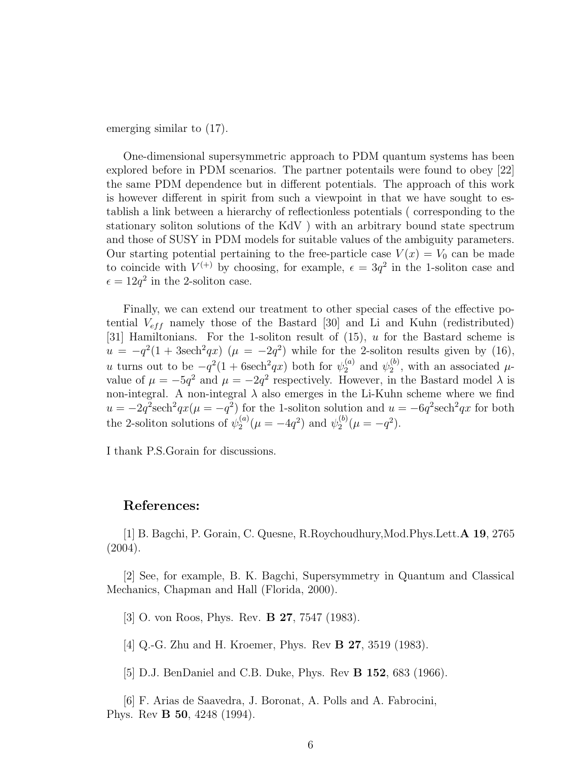emerging similar to (17).

One-dimensional supersymmetric approach to PDM quantum systems has been explored before in PDM scenarios. The partner potentails were found to obey [22] the same PDM dependence but in different potentials. The approach of this work is however different in spirit from such a viewpoint in that we have sought to establish a link between a hierarchy of reflectionless potentials ( corresponding to the stationary soliton solutions of the KdV ) with an arbitrary bound state spectrum and those of SUSY in PDM models for suitable values of the ambiguity parameters. Our starting potential pertaining to the free-particle case  $V(x) = V_0$  can be made to coincide with  $V^{(+)}$  by choosing, for example,  $\epsilon = 3q^2$  in the 1-soliton case and  $\epsilon = 12q^2$  in the 2-soliton case.

Finally, we can extend our treatment to other special cases of the effective potential  $V_{eff}$  namely those of the Bastard [30] and Li and Kuhn (redistributed) [31] Hamiltonians. For the 1-soliton result of (15), u for the Bastard scheme is  $u = -q^2(1 + 3\text{sech}^2 q x)$   $(\mu = -2q^2)$  while for the 2-soliton results given by (16), u turns out to be  $-q^2(1+6\mathrm{sech}^2qx)$  both for  $\psi_2^{(a)}$  and  $\psi_2^{(b)}$  $\mu$ <sup>0</sup>, with an associated  $\mu$ value of  $\mu = -5q^2$  and  $\mu = -2q^2$  respectively. However, in the Bastard model  $\lambda$  is non-integral. A non-integral  $\lambda$  also emerges in the Li-Kuhn scheme where we find  $u = -2q^2 \text{sech}^2 qx (\mu = -q^2)$  for the 1-soliton solution and  $u = -6q^2 \text{sech}^2 qx$  for both the 2-soliton solutions of  $\psi_2^{(a)}$  $a_2^{(a)}(\mu = -4q^2)$  and  $\psi_2^{(b)}$  $a_2^{(b)}(\mu = -q^2).$ 

I thank P.S.Gorain for discussions.

## References:

[1] B. Bagchi, P. Gorain, C. Quesne, R.Roychoudhury,Mod.Phys.Lett.A 19, 2765 (2004).

[2] See, for example, B. K. Bagchi, Supersymmetry in Quantum and Classical Mechanics, Chapman and Hall (Florida, 2000).

[3] O. von Roos, Phys. Rev. **B 27**, 7547 (1983).

[4] Q.-G. Zhu and H. Kroemer, Phys. Rev B 27, 3519 (1983).

[5] D.J. BenDaniel and C.B. Duke, Phys. Rev B 152, 683 (1966).

[6] F. Arias de Saavedra, J. Boronat, A. Polls and A. Fabrocini, Phys. Rev B 50, 4248 (1994).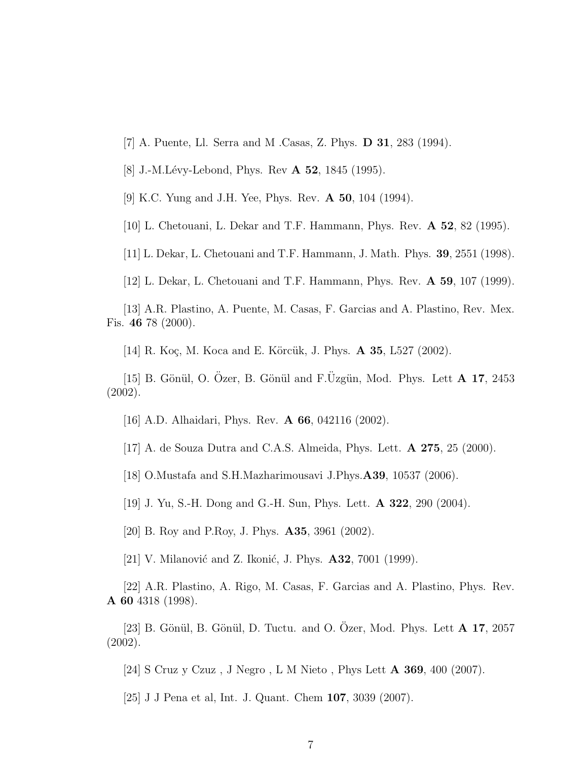- [7] A. Puente, Ll. Serra and M .Casas, Z. Phys. D 31, 283 (1994).
- [8] J.-M.Lévy-Lebond, Phys. Rev **A 52**, 1845 (1995).

[9] K.C. Yung and J.H. Yee, Phys. Rev. A 50, 104 (1994).

[10] L. Chetouani, L. Dekar and T.F. Hammann, Phys. Rev. A 52, 82 (1995).

[11] L. Dekar, L. Chetouani and T.F. Hammann, J. Math. Phys. 39, 2551 (1998).

[12] L. Dekar, L. Chetouani and T.F. Hammann, Phys. Rev. A 59, 107 (1999).

[13] A.R. Plastino, A. Puente, M. Casas, F. Garcias and A. Plastino, Rev. Mex. Fis. 46 78 (2000).

[14] R. Koç, M. Koca and E. Körcük, J. Phys. **A 35**, L527 (2002).

[15] B. Gönül, O. Özer, B. Gönül and F. Üzgün, Mod. Phys. Lett  $\bf{A}$  17, 2453 (2002).

[16] A.D. Alhaidari, Phys. Rev. A 66, 042116 (2002).

[17] A. de Souza Dutra and C.A.S. Almeida, Phys. Lett. A 275, 25 (2000).

[18] O.Mustafa and S.H.Mazharimousavi J.Phys.A39, 10537 (2006).

[19] J. Yu, S.-H. Dong and G.-H. Sun, Phys. Lett. A 322, 290 (2004).

[20] B. Roy and P.Roy, J. Phys. A35, 3961 (2002).

[21] V. Milanović and Z. Ikonić, J. Phys.  $\mathbf{A32}$ , 7001 (1999).

[22] A.R. Plastino, A. Rigo, M. Casas, F. Garcias and A. Plastino, Phys. Rev. A 60 4318 (1998).

[23] B. Gönül, B. Gönül, D. Tuctu. and O. Ozer, Mod. Phys. Lett  $A$  17, 2057 (2002).

[24] S Cruz y Czuz , J Negro , L M Nieto , Phys Lett A 369, 400 (2007).

[25] J J Pena et al, Int. J. Quant. Chem 107, 3039 (2007).